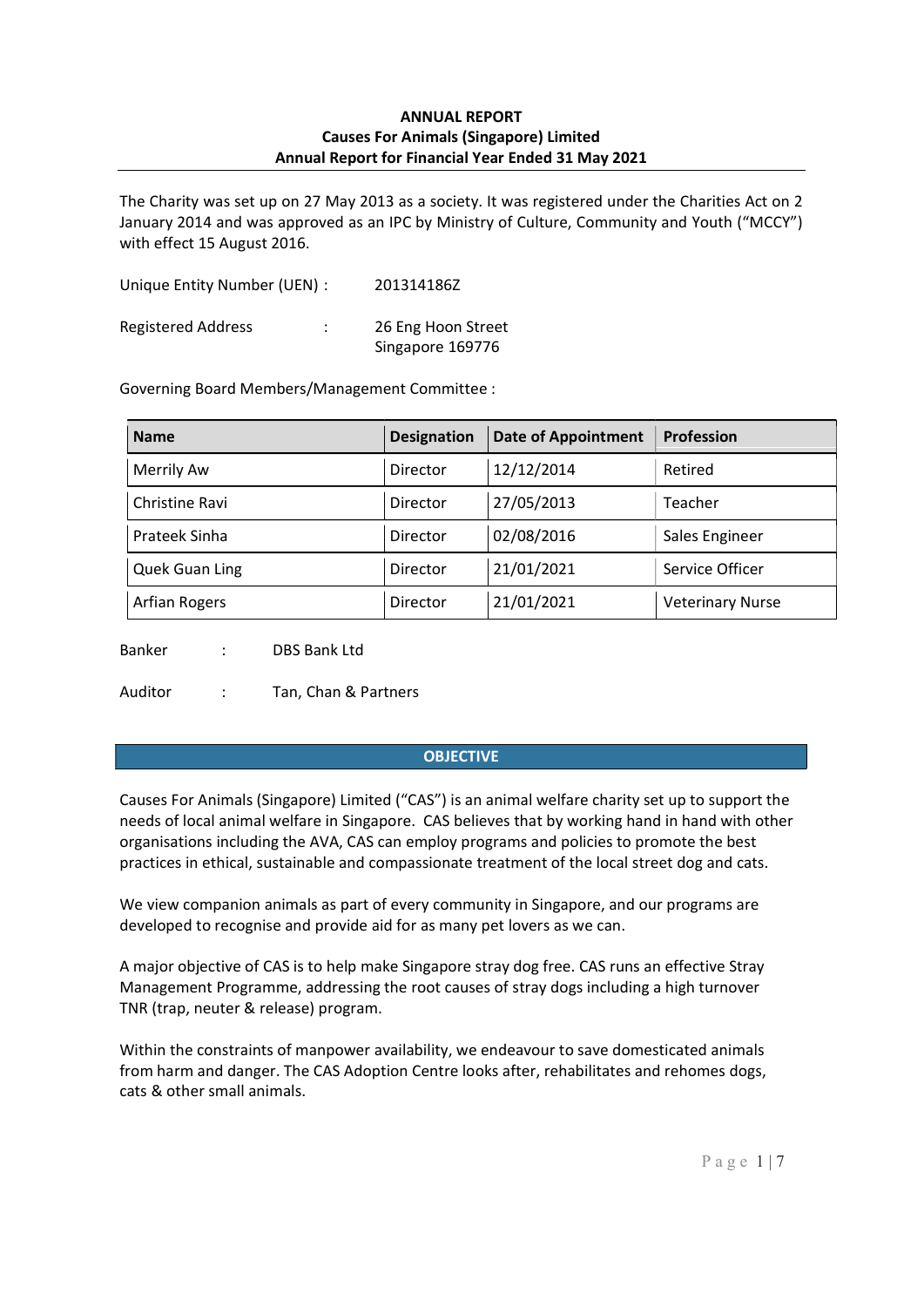The Charity was set up on 27 May 2013 as a society. It was registered under the Charities Act on 2 January 2014 and was approved as an IPC by Ministry of Culture, Community and Youth ("MCCY") with effect 15 August 2016.

Unique Entity Number (UEN) : 201314186Z Registered Address : 26 Eng Hoon Street Singapore 169776

Governing Board Members/Management Committee :

| <b>Name</b>       | <b>Designation</b> | <b>Date of Appointment</b> | Profession              |
|-------------------|--------------------|----------------------------|-------------------------|
| <b>Merrily Aw</b> | Director           | 12/12/2014                 | Retired                 |
| Christine Ravi    | Director           | 27/05/2013                 | Teacher                 |
| Prateek Sinha     | Director           | 02/08/2016                 | Sales Engineer          |
| Quek Guan Ling    | Director           | 21/01/2021                 | Service Officer         |
| Arfian Rogers     | Director           | 21/01/2021                 | <b>Veterinary Nurse</b> |

Banker : DBS Bank Ltd

Auditor : Tan, Chan & Partners

## **OBJECTIVE**

Causes For Animals (Singapore) Limited ("CAS") is an animal welfare charity set up to support the needs of local animal welfare in Singapore. CAS believes that by working hand in hand with other organisations including the AVA, CAS can employ programs and policies to promote the best practices in ethical, sustainable and compassionate treatment of the local street dog and cats.

We view companion animals as part of every community in Singapore, and our programs are developed to recognise and provide aid for as many pet lovers as we can.

A major objective of CAS is to help make Singapore stray dog free. CAS runs an effective Stray Management Programme, addressing the root causes of stray dogs including a high turnover TNR (trap, neuter & release) program.

Within the constraints of manpower availability, we endeavour to save domesticated animals from harm and danger. The CAS Adoption Centre looks after, rehabilitates and rehomes dogs, cats & other small animals.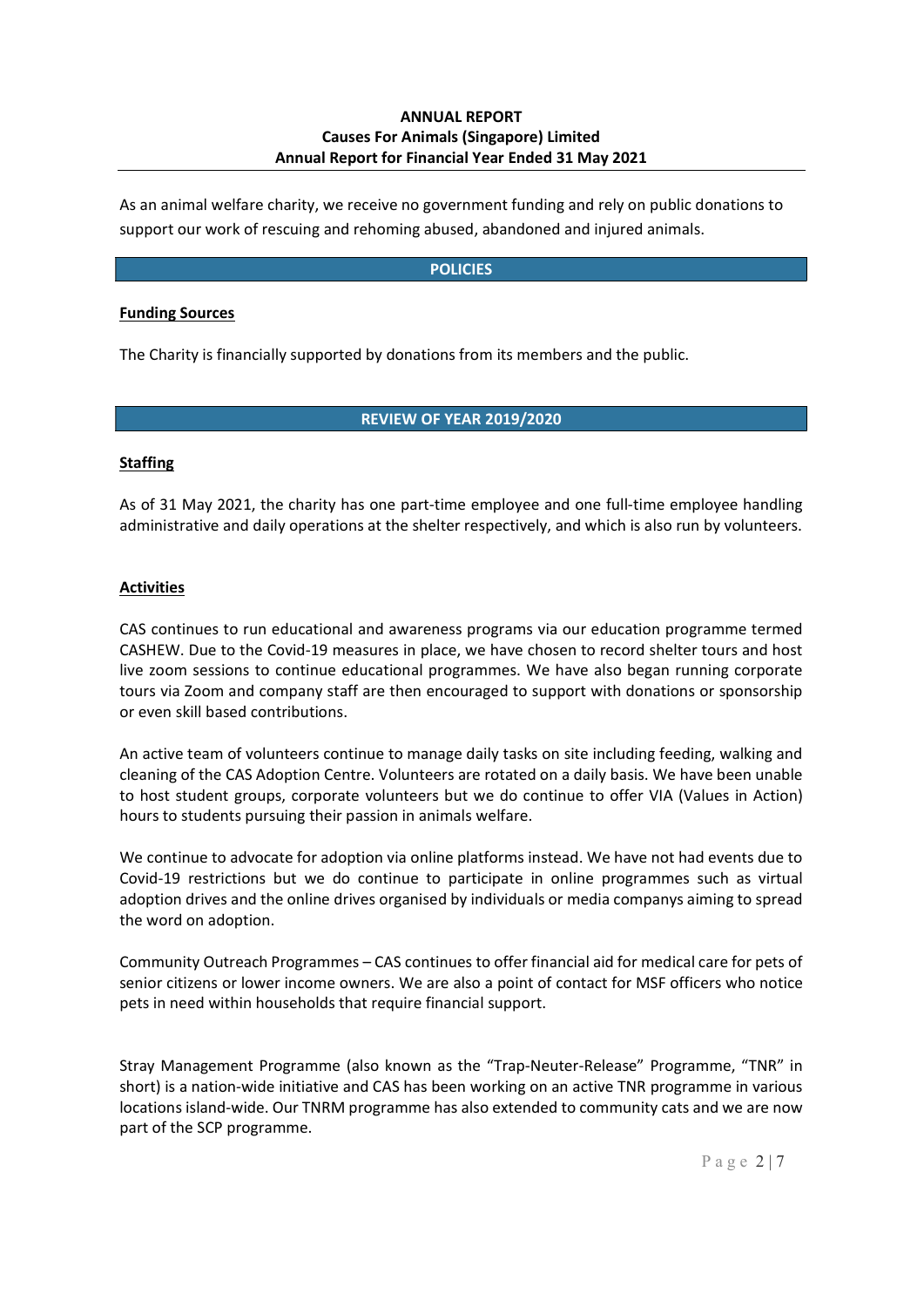As an animal welfare charity, we receive no government funding and rely on public donations to support our work of rescuing and rehoming abused, abandoned and injured animals.

#### **POLICIES**

#### **Funding Sources**

The Charity is financially supported by donations from its members and the public.

## **REVIEW OF YEAR 2019/2020**

#### **Staffing**

As of 31 May 2021, the charity has one part-time employee and one full-time employee handling administrative and daily operations at the shelter respectively, and which is also run by volunteers.

#### **Activities**

CAS continues to run educational and awareness programs via our education programme termed CASHEW. Due to the Covid-19 measures in place, we have chosen to record shelter tours and host live zoom sessions to continue educational programmes. We have also began running corporate tours via Zoom and company staff are then encouraged to support with donations or sponsorship or even skill based contributions.

An active team of volunteers continue to manage daily tasks on site including feeding, walking and cleaning of the CAS Adoption Centre. Volunteers are rotated on a daily basis. We have been unable to host student groups, corporate volunteers but we do continue to offer VIA (Values in Action) hours to students pursuing their passion in animals welfare.

We continue to advocate for adoption via online platforms instead. We have not had events due to Covid-19 restrictions but we do continue to participate in online programmes such as virtual adoption drives and the online drives organised by individuals or media companys aiming to spread the word on adoption.

Community Outreach Programmes – CAS continues to offer financial aid for medical care for pets of senior citizens or lower income owners. We are also a point of contact for MSF officers who notice pets in need within households that require financial support.

Stray Management Programme (also known as the "Trap-Neuter-Release" Programme, "TNR" in short) is a nation-wide initiative and CAS has been working on an active TNR programme in various locations island-wide. Our TNRM programme has also extended to community cats and we are now part of the SCP programme.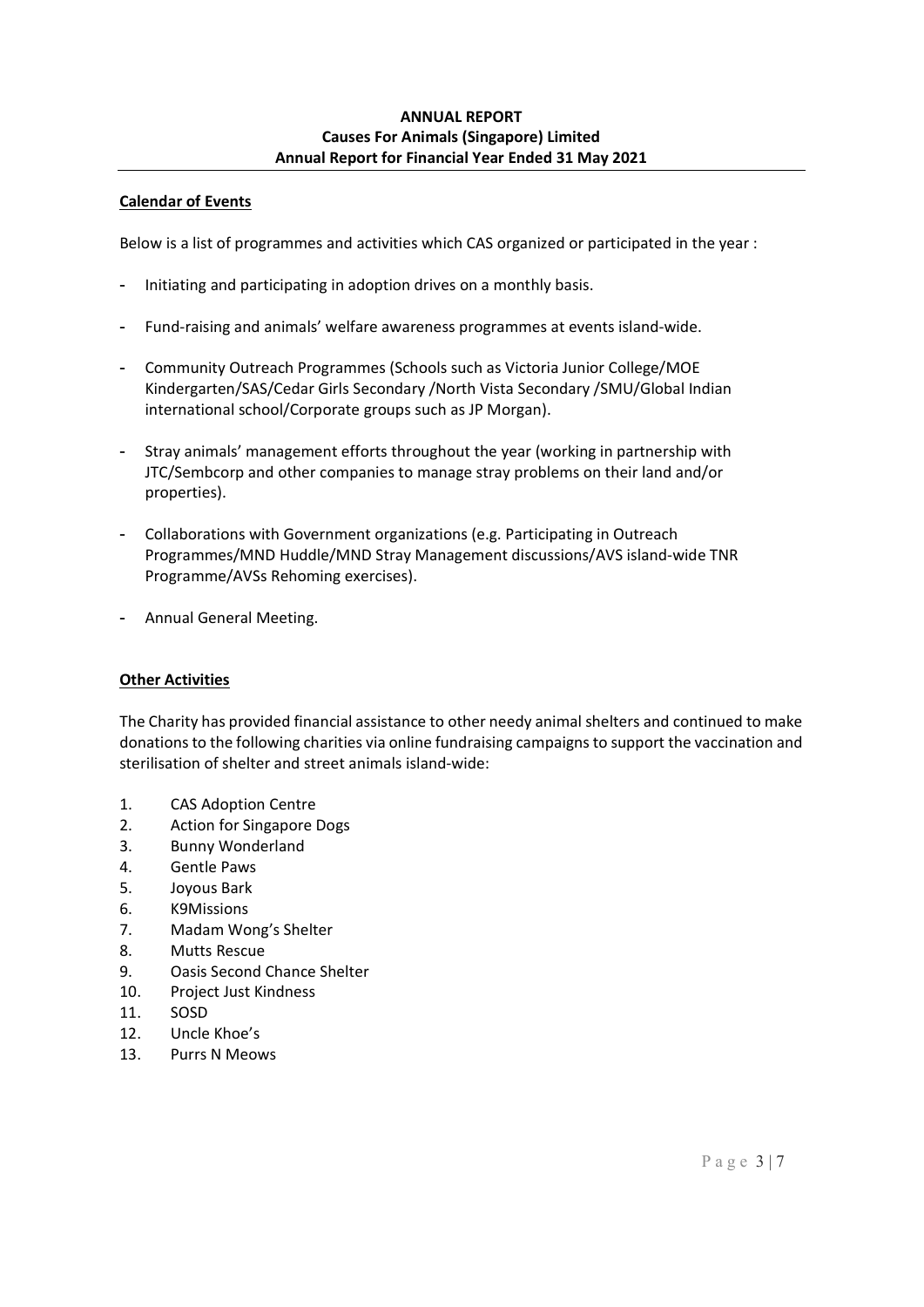## **Calendar of Events**

Below is a list of programmes and activities which CAS organized or participated in the year :

- Initiating and participating in adoption drives on a monthly basis.
- Fund-raising and animals' welfare awareness programmes at events island-wide.
- Community Outreach Programmes (Schools such as Victoria Junior College/MOE Kindergarten/SAS/Cedar Girls Secondary /North Vista Secondary /SMU/Global Indian international school/Corporate groups such as JP Morgan).
- Stray animals' management efforts throughout the year (working in partnership with JTC/Sembcorp and other companies to manage stray problems on their land and/or properties).
- Collaborations with Government organizations (e.g. Participating in Outreach Programmes/MND Huddle/MND Stray Management discussions/AVS island-wide TNR Programme/AVSs Rehoming exercises).
- Annual General Meeting.

# **Other Activities**

The Charity has provided financial assistance to other needy animal shelters and continued to make donations to the following charities via online fundraising campaigns to support the vaccination and sterilisation of shelter and street animals island-wide:

- 1. CAS Adoption Centre
- 2. Action for Singapore Dogs
- 3. Bunny Wonderland
- 4. Gentle Paws
- 5. Joyous Bark
- 6. K9Missions
- 7. Madam Wong's Shelter
- 8. Mutts Rescue
- 9. Oasis Second Chance Shelter
- 10. Project Just Kindness
- 11. SOSD
- 12. Uncle Khoe's
- 13. Purrs N Meows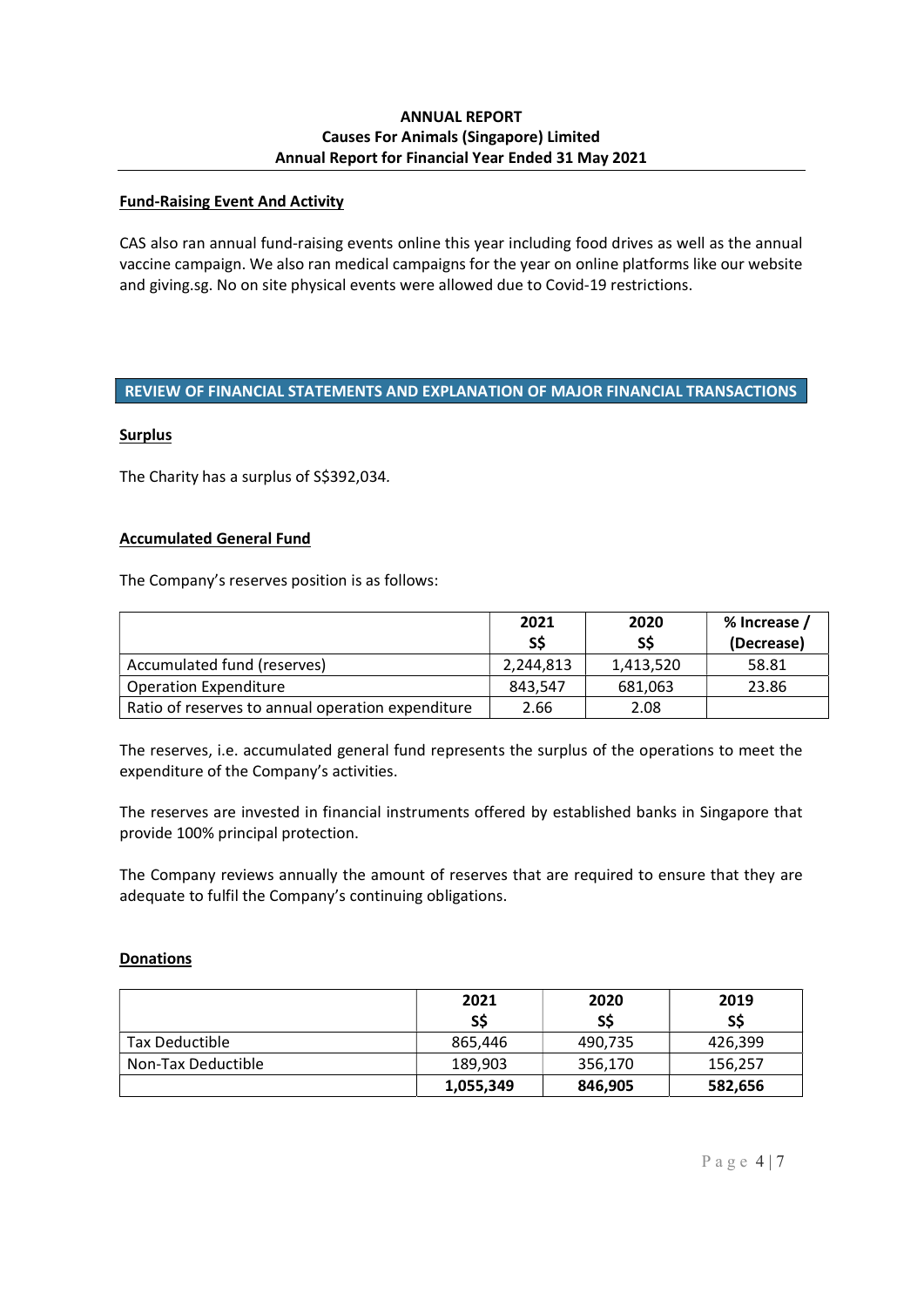### **Fund-Raising Event And Activity**

CAS also ran annual fund-raising events online this year including food drives as well as the annual vaccine campaign. We also ran medical campaigns for the year on online platforms like our website and giving.sg. No on site physical events were allowed due to Covid-19 restrictions.

### **REVIEW OF FINANCIAL STATEMENTS AND EXPLANATION OF MAJOR FINANCIAL TRANSACTIONS**

#### **Surplus**

The Charity has a surplus of S\$392,034*.*

### **Accumulated General Fund**

The Company's reserves position is as follows:

|                                                   | 2021<br>S\$ | 2020<br>S\$ | % Increase /<br>(Decrease) |
|---------------------------------------------------|-------------|-------------|----------------------------|
| Accumulated fund (reserves)                       | 2,244,813   | 1,413,520   | 58.81                      |
| <b>Operation Expenditure</b>                      | 843.547     | 681,063     | 23.86                      |
| Ratio of reserves to annual operation expenditure | 2.66        | 2.08        |                            |

The reserves, i.e. accumulated general fund represents the surplus of the operations to meet the expenditure of the Company's activities.

The reserves are invested in financial instruments offered by established banks in Singapore that provide 100% principal protection.

The Company reviews annually the amount of reserves that are required to ensure that they are adequate to fulfil the Company's continuing obligations.

#### **Donations**

|                    | 2021<br>S\$ | 2020<br>SS | 2019<br>S\$ |
|--------------------|-------------|------------|-------------|
| Tax Deductible     | 865,446     | 490,735    | 426,399     |
| Non-Tax Deductible | 189,903     | 356,170    | 156,257     |
|                    | 1,055,349   | 846,905    | 582,656     |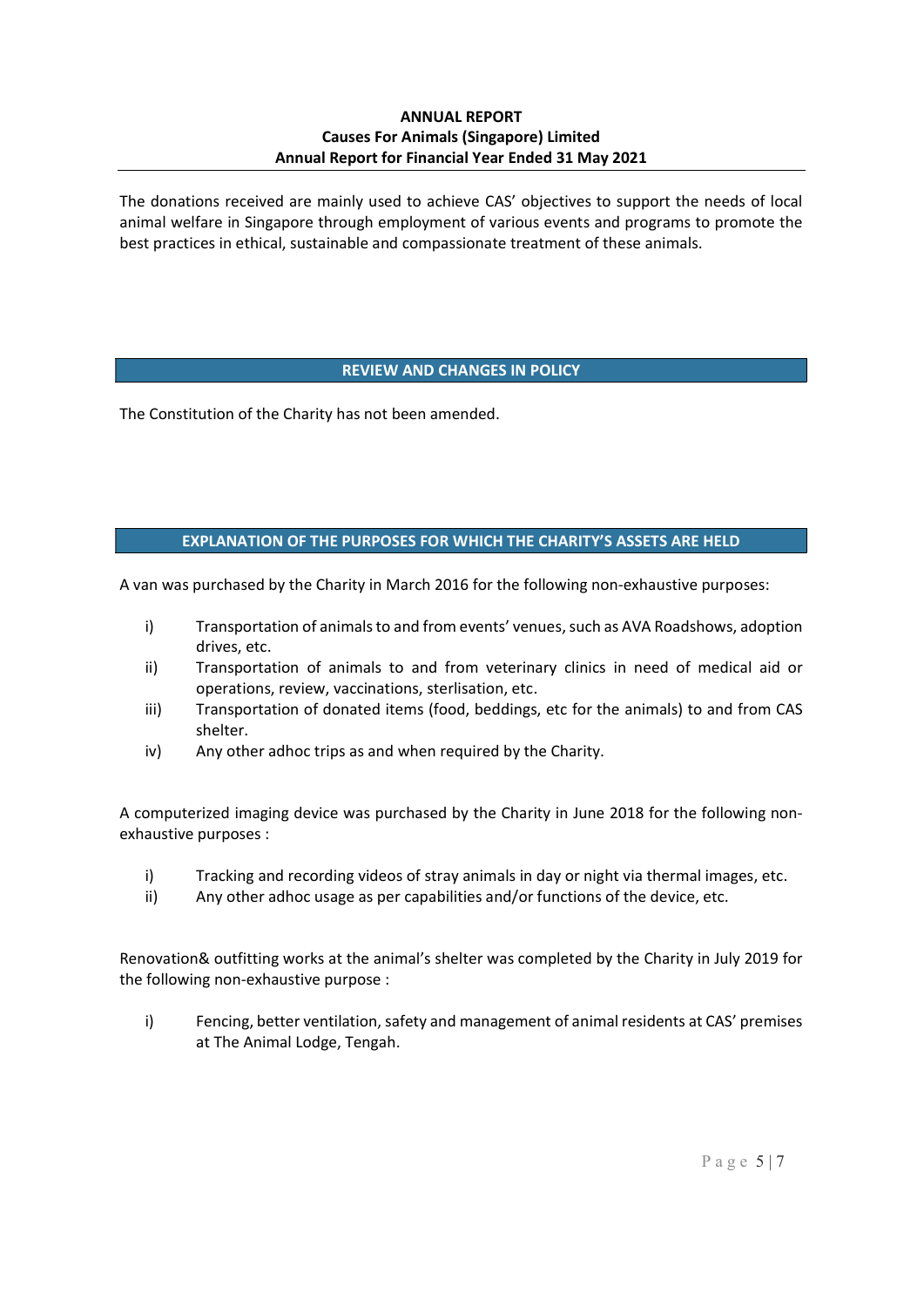The donations received are mainly used to achieve CAS' objectives to support the needs of local animal welfare in Singapore through employment of various events and programs to promote the best practices in ethical, sustainable and compassionate treatment of these animals.

## **REVIEW AND CHANGES IN POLICY**

The Constitution of the Charity has not been amended.

## **EXPLANATION OF THE PURPOSES FOR WHICH THE CHARITY'S ASSETS ARE HELD**

A van was purchased by the Charity in March 2016 for the following non-exhaustive purposes:

- i) Transportation of animals to and from events' venues, such as AVA Roadshows, adoption drives, etc.
- ii) Transportation of animals to and from veterinary clinics in need of medical aid or operations, review, vaccinations, sterlisation, etc.
- iii) Transportation of donated items (food, beddings, etc for the animals) to and from CAS shelter.
- iv) Any other adhoc trips as and when required by the Charity.

A computerized imaging device was purchased by the Charity in June 2018 for the following nonexhaustive purposes :

- i) Tracking and recording videos of stray animals in day or night via thermal images, etc.
- ii) Any other adhoc usage as per capabilities and/or functions of the device, etc.

Renovation& outfitting works at the animal's shelter was completed by the Charity in July 2019 for the following non-exhaustive purpose :

i) Fencing, better ventilation, safety and management of animal residents at CAS' premises at The Animal Lodge, Tengah.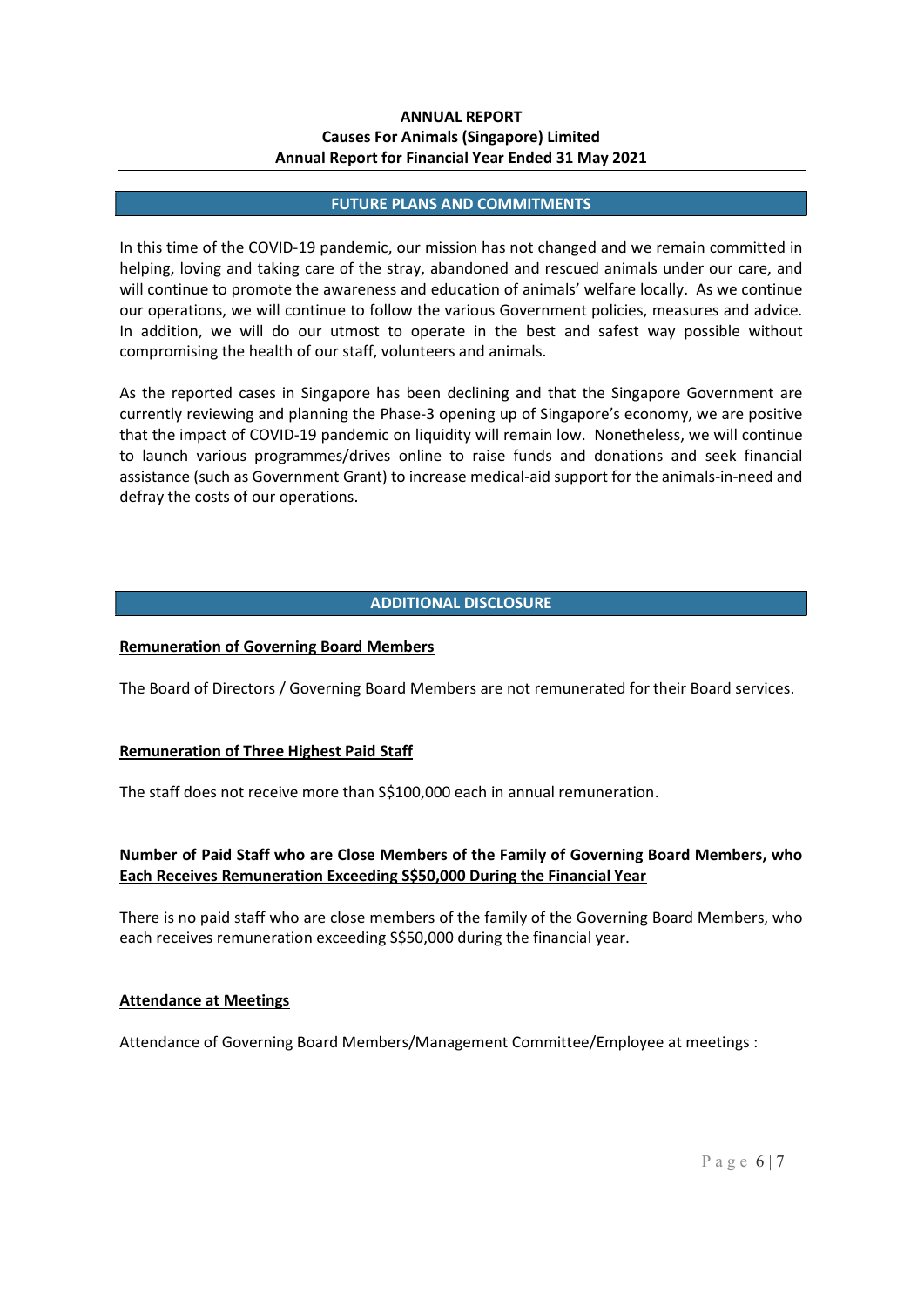#### **FUTURE PLANS AND COMMITMENTS**

In this time of the COVID-19 pandemic, our mission has not changed and we remain committed in helping, loving and taking care of the stray, abandoned and rescued animals under our care, and will continue to promote the awareness and education of animals' welfare locally. As we continue our operations, we will continue to follow the various Government policies, measures and advice. In addition, we will do our utmost to operate in the best and safest way possible without compromising the health of our staff, volunteers and animals.

As the reported cases in Singapore has been declining and that the Singapore Government are currently reviewing and planning the Phase-3 opening up of Singapore's economy, we are positive that the impact of COVID-19 pandemic on liquidity will remain low. Nonetheless, we will continue to launch various programmes/drives online to raise funds and donations and seek financial assistance (such as Government Grant) to increase medical-aid support for the animals-in-need and defray the costs of our operations.

### **ADDITIONAL DISCLOSURE**

#### **Remuneration of Governing Board Members**

The Board of Directors / Governing Board Members are not remunerated for their Board services.

#### **Remuneration of Three Highest Paid Staff**

The staff does not receive more than S\$100,000 each in annual remuneration.

## **Number of Paid Staff who are Close Members of the Family of Governing Board Members, who Each Receives Remuneration Exceeding S\$50,000 During the Financial Year**

There is no paid staff who are close members of the family of the Governing Board Members, who each receives remuneration exceeding S\$50,000 during the financial year.

#### **Attendance at Meetings**

Attendance of Governing Board Members/Management Committee/Employee at meetings :